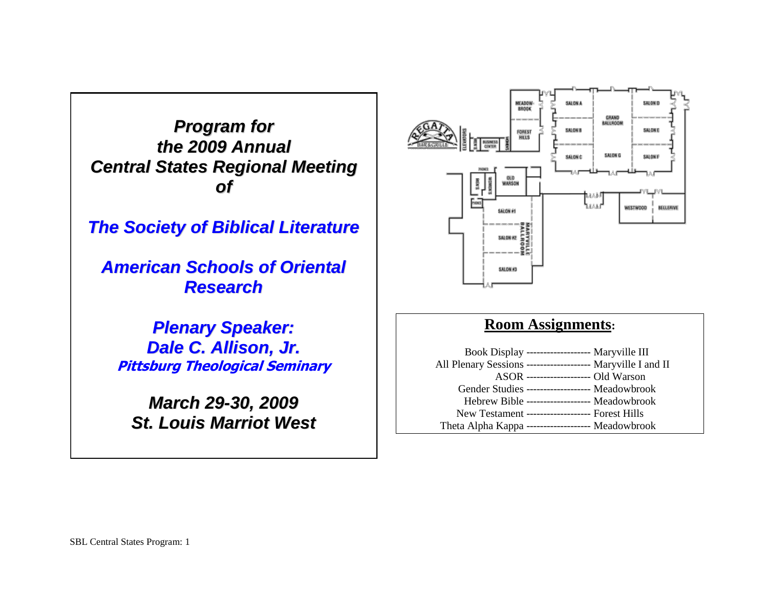*Program for the 2009 Annual Central States Regional Meeting of*

*The Society of Biblical Literature*

*American Schools of Oriental Research*

*Plenary Speaker: Dale C. Allison, Jr.* **Pittsburg Theological Seminary**

*March 29-30, 2009 St. Louis Marriot West*



# **Room Assignments:**

|                                                              | Book Display -------------------- Maryville III |  |
|--------------------------------------------------------------|-------------------------------------------------|--|
| All Plenary Sessions -------------------- Maryville I and II |                                                 |  |
|                                                              | ASOR ------------------- Old Warson             |  |
| Gender Studies ------------------- Meadowbrook               |                                                 |  |
|                                                              | Hebrew Bible ------------------- Meadowbrook    |  |
| New Testament ------------------- Forest Hills               |                                                 |  |
| Theta Alpha Kappa ------------------- Meadowbrook            |                                                 |  |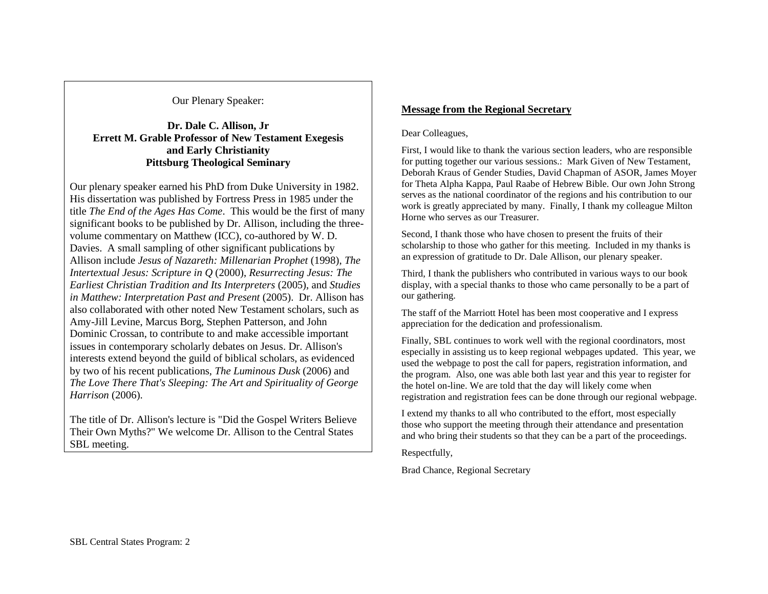Our Plenary Speaker:

## **Dr. Dale C. Allison, Jr Errett M. Grable Professor of New Testament Exegesis and Early Christianity Pittsburg Theological Seminary**

Our plenary speaker earned his PhD from Duke University in 1982. His dissertation was published by Fortress Press in 1985 under the title *The End of the Ages Has Come*. This would be the first of many significant books to be published by Dr. Allison, including the threevolume commentary on Matthew (ICC), co-authored by W. D. Davies. A small sampling of other significant publications by Allison include *Jesus of Nazareth: Millenarian Prophet* (1998), *The Intertextual Jesus: Scripture in Q* (2000), *Resurrecting Jesus: The Earliest Christian Tradition and Its Interpreters* (2005), and *Studies in Matthew: Interpretation Past and Present* (2005). Dr. Allison has also collaborated with other noted New Testament scholars, such as Amy-Jill Levine, Marcus Borg, Stephen Patterson, and John Dominic Crossan, to contribute to and make accessible important issues in contemporary scholarly debates on Jesus. Dr. Allison's interests extend beyond the guild of biblical scholars, as evidenced by two of his recent publications, *The Luminous Dusk* (2006) and *The Love There That's Sleeping: The Art and Spirituality of George Harrison* (2006).

The title of Dr. Allison's lecture is "Did the Gospel Writers Believe Their Own Myths?" We welcome Dr. Allison to the Central States SBL meeting.

## **Message from the Regional Secretary**

## Dear Colleagues,

First, I would like to thank the various section leaders, who are responsible for putting together our various sessions.: Mark Given of New Testament, Deborah Kraus of Gender Studies, David Chapman of ASOR, James Moyer for Theta Alpha Kappa, Paul Raabe of Hebrew Bible. Our own John Strong serves as the national coordinator of the regions and his contribution to our work is greatly appreciated by many. Finally, I thank my colleague Milton Horne who serves as our Treasurer.

Second, I thank those who have chosen to present the fruits of their scholarship to those who gather for this meeting. Included in my thanks is an expression of gratitude to Dr. Dale Allison, our plenary speaker.

Third, I thank the publishers who contributed in various ways to our book display, with a special thanks to those who came personally to be a part of our gathering.

The staff of the Marriott Hotel has been most cooperative and I express appreciation for the dedication and professionalism.

Finally, SBL continues to work well with the regional coordinators, most especially in assisting us to keep regional webpages updated. This year, we used the webpage to post the call for papers, registration information, and the program. Also, one was able both last year and this year to register for the hotel on-line. We are told that the day will likely come when registration and registration fees can be done through our regional webpage.

I extend my thanks to all who contributed to the effort, most especially those who support the meeting through their attendance and presentation and who bring their students so that they can be a part of the proceedings.

Respectfully,

Brad Chance, Regional Secretary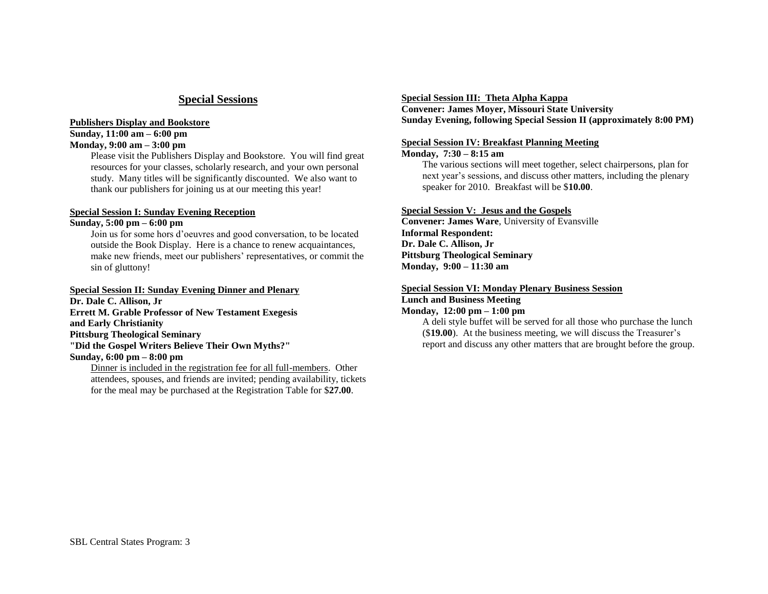## **Special Sessions**

#### **Publishers Display and Bookstore Sunday, 11:00 am – 6:00 pm**

#### **Monday, 9:00 am – 3:00 pm**

Please visit the Publishers Display and Bookstore. You will find great resources for your classes, scholarly research, and your own personal study. Many titles will be significantly discounted. We also want to thank our publishers for joining us at our meeting this year!

## **Special Session I: Sunday Evening Reception**

### **Sunday, 5:00 pm – 6:00 pm**

Join us for some hors d'oeuvres and good conversation, to be located outside the Book Display. Here is a chance to renew acquaintances, make new friends, meet our publishers' representatives, or commit the sin of gluttony!

#### **Special Session II: Sunday Evening Dinner and Plenary**

**Dr. Dale C. Allison, Jr Errett M. Grable Professor of New Testament Exegesis and Early Christianity Pittsburg Theological Seminary "Did the Gospel Writers Believe Their Own Myths?" Sunday, 6:00 pm – 8:00 pm**

Dinner is included in the registration fee for all full-members. Other attendees, spouses, and friends are invited; pending availability, tickets for the meal may be purchased at the Registration Table for \$**27.00**.

#### **Special Session III: Theta Alpha Kappa**

**Convener: James Moyer, Missouri State University Sunday Evening, following Special Session II (approximately 8:00 PM)**

## **Special Session IV: Breakfast Planning Meeting**

#### **Monday, 7:30 – 8:15 am**

The various sections will meet together, select chairpersons, plan for next year's sessions, and discuss other matters, including the plenary speaker for 2010. Breakfast will be \$**10.00**.

## **Special Session V: Jesus and the Gospels**

**Convener: James Ware**, University of Evansville **Informal Respondent: Dr. Dale C. Allison, Jr Pittsburg Theological Seminary Monday, 9:00 – 11:30 am**

## **Special Session VI: Monday Plenary Business Session**

## **Lunch and Business Meeting**

**Monday, 12:00 pm – 1:00 pm**

A deli style buffet will be served for all those who purchase the lunch (\$**19.00**). At the business meeting, we will discuss the Treasurer's report and discuss any other matters that are brought before the group.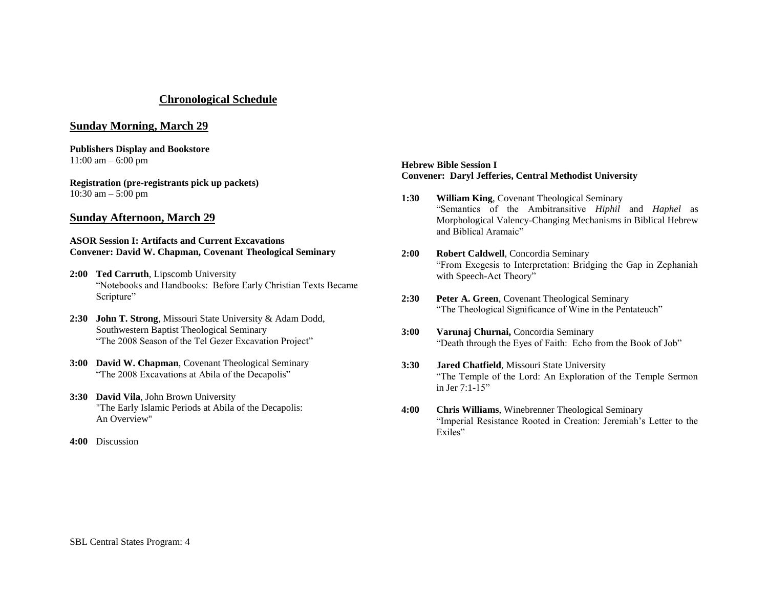## **Chronological Schedule**

## **Sunday Morning, March 29**

**Publishers Display and Bookstore**  $11:00$  am  $- 6:00$  pm

**Registration (pre-registrants pick up packets)** 10:30 am – 5:00 pm

## **Sunday Afternoon, March 29**

#### **ASOR Session I: Artifacts and Current Excavations Convener: David W. Chapman, Covenant Theological Seminary**

- **2:00 Ted Carruth**, Lipscomb University ―Notebooks and Handbooks: Before Early Christian Texts Became Scripture"
- **2:30 John T. Strong**, Missouri State University & Adam Dodd, Southwestern Baptist Theological Seminary "The 2008 Season of the Tel Gezer Excavation Project"
- **3:00 David W. Chapman**, Covenant Theological Seminary "The 2008 Excavations at Abila of the Decapolis"
- **3:30 David Vila**, John Brown University "The Early Islamic Periods at Abila of the Decapolis: An Overview"
- **4:00** Discussion

#### **Hebrew Bible Session I Convener: Daryl Jefferies, Central Methodist University**

- **1:30 William King**, Covenant Theological Seminary ―Semantics of the Ambitransitive *Hiphil* and *Haphel* as Morphological Valency-Changing Mechanisms in Biblical Hebrew and Biblical Aramaic"
- **2:00 Robert Caldwell**, Concordia Seminary ―From Exegesis to Interpretation: Bridging the Gap in Zephaniah with Speech-Act Theory"
- **2:30 Peter A. Green**, Covenant Theological Seminary "The Theological Significance of Wine in the Pentateuch"
- **3:00 Varunaj Churnai,** Concordia Seminary "Death through the Eyes of Faith: Echo from the Book of Job"
- **3:30 Jared Chatfield**, Missouri State University ―The Temple of the Lord: An Exploration of the Temple Sermon in Jer  $7:1-15"$
- **4:00 Chris Williams**, Winebrenner Theological Seminary ―Imperial Resistance Rooted in Creation: Jeremiah's Letter to the Exiles"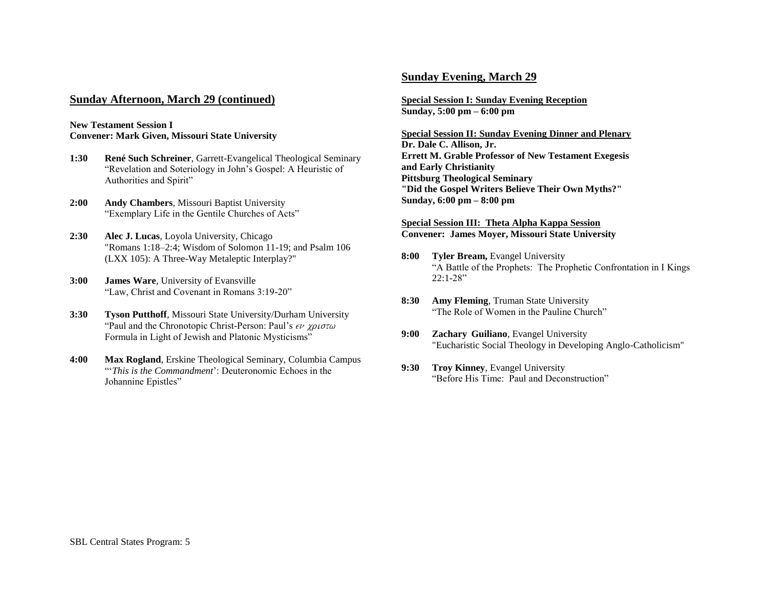## **Sunday Afternoon, March 29 (continued)**

#### **New Testament Session I Convener: Mark Given, Missouri State University**

- **1:30 René Such Schreiner**, Garrett-Evangelical Theological Seminary ―Revelation and Soteriology in John's Gospel: A Heuristic of Authorities and Spirit"
- **2:00 Andy Chambers**, Missouri Baptist University "Exemplary Life in the Gentile Churches of Acts"
- **2:30 Alec J. Lucas**, Loyola University, Chicago "Romans 1:18–2:4; Wisdom of Solomon 11-19; and Psalm 106 (LXX 105): A Three-Way Metaleptic Interplay?"
- **3:00 James Ware**, University of Evansville "Law, Christ and Covenant in Romans 3:19-20"
- **3:30 Tyson Putthoff**, Missouri State University/Durham University "Paul and the Chronotopic Christ-Person: Paul's  $\epsilon \nu \chi \rho \nu \sigma \tau \omega$ Formula in Light of Jewish and Platonic Mysticisms"
- **4:00 Max Rogland**, Erskine Theological Seminary, Columbia Campus ―‗*This is the Commandment*': Deuteronomic Echoes in the Johannine Epistles"

## **Sunday Evening, March 29**

**Special Session I: Sunday Evening Reception Sunday, 5:00 pm – 6:00 pm**

**Special Session II: Sunday Evening Dinner and Plenary Dr. Dale C. Allison, Jr. Errett M. Grable Professor of New Testament Exegesis and Early Christianity Pittsburg Theological Seminary "Did the Gospel Writers Believe Their Own Myths?" Sunday, 6:00 pm – 8:00 pm**

**Special Session III: Theta Alpha Kappa Session Convener: James Moyer, Missouri State University**

- **8:00 Tyler Bream, Evangel University** "A Battle of the Prophets: The Prophetic Confrontation in I Kings  $22:1-28$ "
- **8:30 Amy Fleming**, Truman State University "The Role of Women in the Pauline Church"
- **9:00 Zachary Guiliano**, Evangel University "Eucharistic Social Theology in Developing Anglo-Catholicism"
- **9:30 Troy Kinney**, Evangel University "Before His Time: Paul and Deconstruction"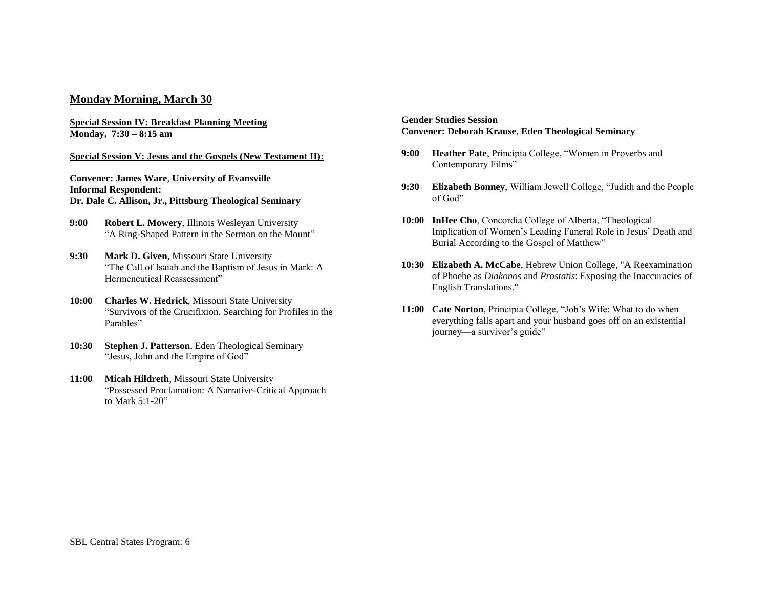## **Monday Morning, March 30**

**Special Session IV: Breakfast Planning Meeting Monday, 7:30 – 8:15 am**

#### **Special Session V: Jesus and the Gospels (New Testament II):**

**Convener: James Ware**, **University of Evansville Informal Respondent: Dr. Dale C. Allison, Jr., Pittsburg Theological Seminary**

- **9:00 Robert L. Mowery**, Illinois Wesleyan University "A Ring-Shaped Pattern in the Sermon on the Mount"
- **9:30 Mark D. Given**, Missouri State University ―The Call of Isaiah and the Baptism of Jesus in Mark: A Hermeneutical Reassessment"
- **10:00 Charles W. Hedrick**, Missouri State University ―Survivors of the Crucifixion. Searching for Profiles in the Parables"
- **10:30 Stephen J. Patterson**, Eden Theological Seminary "Jesus, John and the Empire of God"
- **11:00 Micah Hildreth**, Missouri State University ―Possessed Proclamation: A Narrative-Critical Approach to Mark  $5:1-20$ "

#### **Gender Studies Session Convener: Deborah Krause**, **Eden Theological Seminary**

- **9:00 Heather Pate**, Principia College, "Women in Proverbs and Contemporary Films"
- **9:30 Elizabeth Bonney, William Jewell College, "Judith and the People**" of God"
- **10:00 InHee Cho**, Concordia College of Alberta, "Theological Implication of Women's Leading Funeral Role in Jesus' Death and Burial According to the Gospel of Matthew"
- **10:30 Elizabeth A. McCabe**, Hebrew Union College, "A Reexamination of Phoebe as *Diakonos* and *Prostatis*: Exposing the Inaccuracies of English Translations."
- **11:00 Cate Norton, Principia College, "Job's Wife: What to do when** everything falls apart and your husband goes off on an existential journey—a survivor's guide"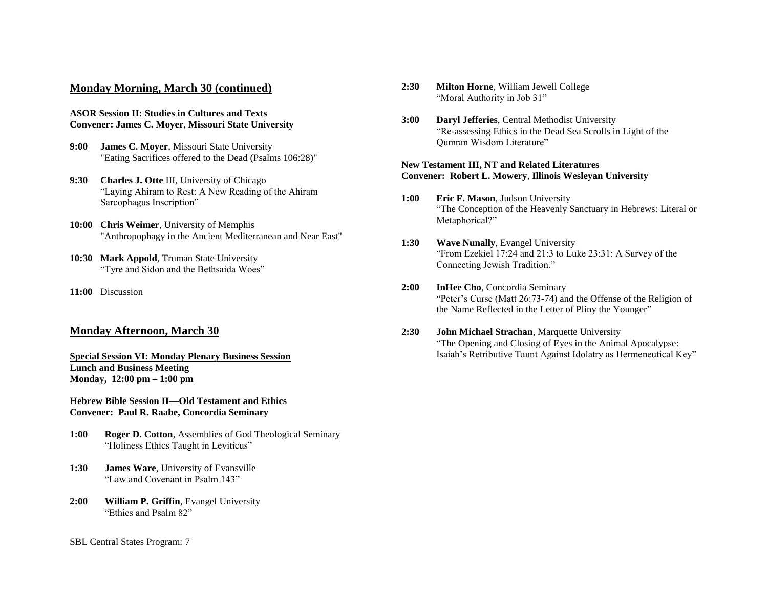## **Monday Morning, March 30 (continued)**

#### **ASOR Session II: Studies in Cultures and Texts Convener: James C. Moyer**, **Missouri State University**

- **9:00 James C. Moyer**, Missouri State University "Eating Sacrifices offered to the Dead (Psalms 106:28)"
- **9:30 Charles J. Otte** III, University of Chicago ―Laying Ahiram to Rest: A New Reading of the Ahiram Sarcophagus Inscription"
- **10:00 Chris Weimer**, University of Memphis "Anthropophagy in the Ancient Mediterranean and Near East"
- **10:30 Mark Appold**, Truman State University "Tyre and Sidon and the Bethsaida Woes"
- **11:00** Discussion

## **Monday Afternoon, March 30**

**Special Session VI: Monday Plenary Business Session Lunch and Business Meeting Monday, 12:00 pm – 1:00 pm**

#### **Hebrew Bible Session II—Old Testament and Ethics Convener: Paul R. Raabe, Concordia Seminary**

- **1:00 Roger D. Cotton**, Assemblies of God Theological Seminary "Holiness Ethics Taught in Leviticus"
- **1:30 James Ware**, University of Evansville "Law and Covenant in Psalm 143"
- **2:00 William P. Griffin**, Evangel University "Ethics and Psalm 82"
- SBL Central States Program: 7
- **2:30 Milton Horne**, William Jewell College "Moral Authority in Job 31"
- **3:00 Daryl Jefferies**, Central Methodist University ―Re-assessing Ethics in the Dead Sea Scrolls in Light of the Oumran Wisdom Literature"

#### **New Testament III, NT and Related Literatures Convener: Robert L. Mowery**, **Illinois Wesleyan University**

- **1:00 Eric F. Mason**, Judson University ―The Conception of the Heavenly Sanctuary in Hebrews: Literal or Metaphorical?"
- **1:30 Wave Nunally**, Evangel University "From Ezekiel  $17:24$  and  $21:3$  to Luke  $23:31$ : A Survey of the Connecting Jewish Tradition."
- **2:00 InHee Cho**, Concordia Seminary "Peter's Curse (Matt 26:73-74) and the Offense of the Religion of the Name Reflected in the Letter of Pliny the Younger"

## **2:30 John Michael Strachan**, Marquette University ―The Opening and Closing of Eyes in the Animal Apocalypse: Isaiah's Retributive Taunt Against Idolatry as Hermeneutical Key"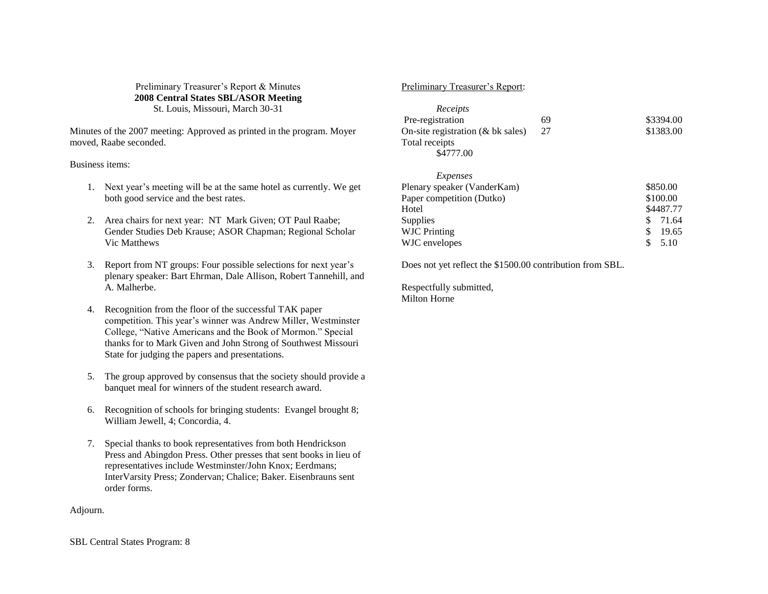### Preliminary Treasurer's Report & Minutes **2008 Central States SBL/ASOR Meeting** St. Louis, Missouri, March 30-31

Minutes of the 2007 meeting: Approved as printed in the program. Moyer moved, Raabe seconded.

#### Business items:

- 1. Next year's meeting will be at the same hotel as currently. We get both good service and the best rates.
- 2. Area chairs for next year: NT Mark Given; OT Paul Raabe; Gender Studies Deb Krause; ASOR Chapman; Regional Scholar Vic Matthews
- 3. Report from NT groups: Four possible selections for next year's plenary speaker: Bart Ehrman, Dale Allison, Robert Tannehill, and A. Malherbe.
- 4. Recognition from the floor of the successful TAK paper competition. This year's winner was Andrew Miller, Westminster College, "Native Americans and the Book of Mormon." Special thanks for to Mark Given and John Strong of Southwest Missouri State for judging the papers and presentations.
- 5. The group approved by consensus that the society should provide a banquet meal for winners of the student research award.
- 6. Recognition of schools for bringing students: Evangel brought 8; William Jewell, 4; Concordia, 4.
- 7. Special thanks to book representatives from both Hendrickson Press and Abingdon Press. Other presses that sent books in lieu of representatives include Westminster/John Knox; Eerdmans; InterVarsity Press; Zondervan; Chalice; Baker. Eisenbrauns sent order forms.

#### Adjourn.

## Preliminary Treasurer's Report:

| Receipts<br>Pre-registration<br>On-site registration $(\&$ bk sales)<br>Total receipts<br>\$4777.00                               | 69<br>27 | \$3394.00<br>\$1383.00                                                        |
|-----------------------------------------------------------------------------------------------------------------------------------|----------|-------------------------------------------------------------------------------|
| Expenses<br>Plenary speaker (VanderKam)<br>Paper competition (Dutko)<br>Hotel<br>Supplies<br><b>WJC</b> Printing<br>WJC envelopes |          | \$850.00<br>\$100.00<br>\$4487.77<br>S<br>71.64<br>\$<br>19.65<br>\$.<br>5.10 |

Does not yet reflect the \$1500.00 contribution from SBL.

Respectfully submitted, Milton Horne